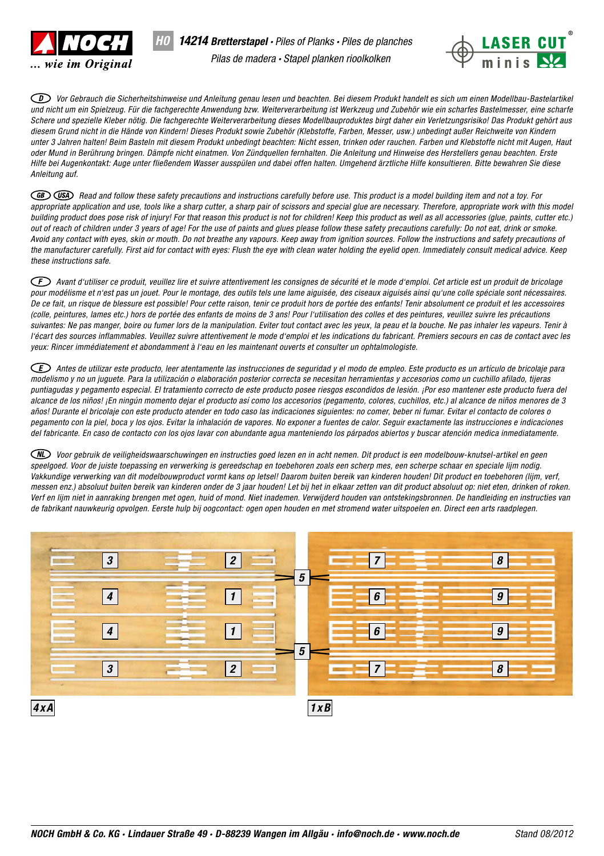

*H0*



*Vor Gebrauch die Sicherheitshinweise und Anleitung genau lesen und beachten. Bei diesem Produkt handelt es sich um einen Modellbau-Bastelartikel und nicht um ein Spielzeug. Für die fachgerechte Anwendung bzw. Weiterverarbeitung ist Werkzeug und Zubehör wie ein scharfes Bastelmesser, eine scharfe Schere und spezielle Kleber nötig. Die fachgerechte Weiterverarbeitung dieses Modellbauproduktes birgt daher ein Verletzungsrisiko! Das Produkt gehört aus diesem Grund nicht in die Hände von Kindern! Dieses Produkt sowie Zubehör (Klebstoffe, Farben, Messer, usw.) unbedingt außer Reichweite von Kindern unter 3 Jahren halten! Beim Basteln mit diesem Produkt unbedingt beachten: Nicht essen, trinken oder rauchen. Farben und Klebstoffe nicht mit Augen, Haut oder Mund in Berührung bringen. Dämpfe nicht einatmen. Von Zündquellen fernhalten. Die Anleitung und Hinweise des Herstellers genau beachten. Erste Hilfe bei Augenkontakt: Auge unter fließendem Wasser ausspülen und dabei offen halten. Umgehend ärztliche Hilfe konsultieren. Bitte bewahren Sie diese Anleitung auf.* 

*Read and follow these safety precautions and instructions carefully before use. This product is a model building item and not a toy. For*  appropriate application and use, tools like a sharp cutter, a sharp pair of scissors and special glue are necessary. Therefore, appropriate work with this model *building product does pose risk of injury! For that reason this product is not for children! Keep this product as well as all accessories (glue, paints, cutter etc.) out of reach of children under 3 years of age! For the use of paints and glues please follow these safety precautions carefully: Do not eat, drink or smoke. Avoid any contact with eyes, skin or mouth. Do not breathe any vapours. Keep away from ignition sources. Follow the instructions and safety precautions of the manufacturer carefully. First aid for contact with eyes: Flush the eye with clean water holding the eyelid open. Immediately consult medical advice. Keep these instructions safe.*

*Avant d'utiliser ce produit, veuillez lire et suivre attentivement les consignes de sécurité et le mode d'emploi. Cet article est un produit de bricolage pour modélisme et n'est pas un jouet. Pour le montage, des outils tels une lame aiguisée, des ciseaux aiguisés ainsi qu'une colle spéciale sont nécessaires. De ce fait, un risque de blessure est possible! Pour cette raison, tenir ce produit hors de portée des enfants! Tenir absolument ce produit et les accessoires (colle, peintures, lames etc.) hors de portée des enfants de moins de 3 ans! Pour l'utilisation des colles et des peintures, veuillez suivre les précautions suivantes: Ne pas manger, boire ou fumer lors de la manipulation. Eviter tout contact avec les yeux, la peau et la bouche. Ne pas inhaler les vapeurs. Tenir à*  l'écart des sources inflammables. Veuillez suivre attentivement le mode d'emploi et les indications du fabricant. Premiers secours en cas de contact avec les *yeux: Rincer immédiatement et abondamment à l'eau en les maintenant ouverts et consulter un ophtalmologiste.*

*Antes de utilizar este producto, leer atentamente las instrucciones de seguridad y el modo de empleo. Este producto es un artículo de bricolaje para modelismo y no un juguete. Para la utilización o elaboración posterior correcta se necesitan herramientas y accesorios como un cuchillo afilado, tijeras puntiagudas y pegamento especial. El tratamiento correcto de este producto posee riesgos escondidos de lesión. ¡Por eso mantener este producto fuera del alcance de los niños! ¡En ningún momento dejar el producto así como los accesorios (pegamento, colores, cuchillos, etc.) al alcance de niños menores de 3 años! Durante el bricolaje con este producto atender en todo caso las indicaciones siguientes: no comer, beber ni fumar. Evitar el contacto de colores o pegamento con la piel, boca y los ojos. Evitar la inhalación de vapores. No exponer a fuentes de calor. Seguir exactamente las instrucciones e indicaciones del fabricante. En caso de contacto con los ojos lavar con abundante agua manteniendo los párpados abiertos y buscar atención medica inmediatamente.*

*Voor gebruik de veiligheidswaarschuwingen en instructies goed lezen en in acht nemen. Dit product is een modelbouw-knutsel-artikel en geen speelgoed. Voor de juiste toepassing en verwerking is gereedschap en toebehoren zoals een scherp mes, een scherpe schaar en speciale lijm nodig. Vakkundige verwerking van dit modelbouwproduct vormt kans op letsel! Daarom buiten bereik van kinderen houden! Dit product en toebehoren (lijm, verf, messen enz.) absoluut buiten bereik van kinderen onder de 3 jaar houden! Let bij het in elkaar zetten van dit product absoluut op: niet eten, drinken of roken. Verf en lijm niet in aanraking brengen met ogen, huid of mond. Niet inademen. Verwijderd houden van ontstekingsbronnen. De handleiding en instructies van de fabrikant nauwkeurig opvolgen. Eerste hulp bij oogcontact: ogen open houden en met stromend water uitspoelen en. Direct een arts raadplegen.*